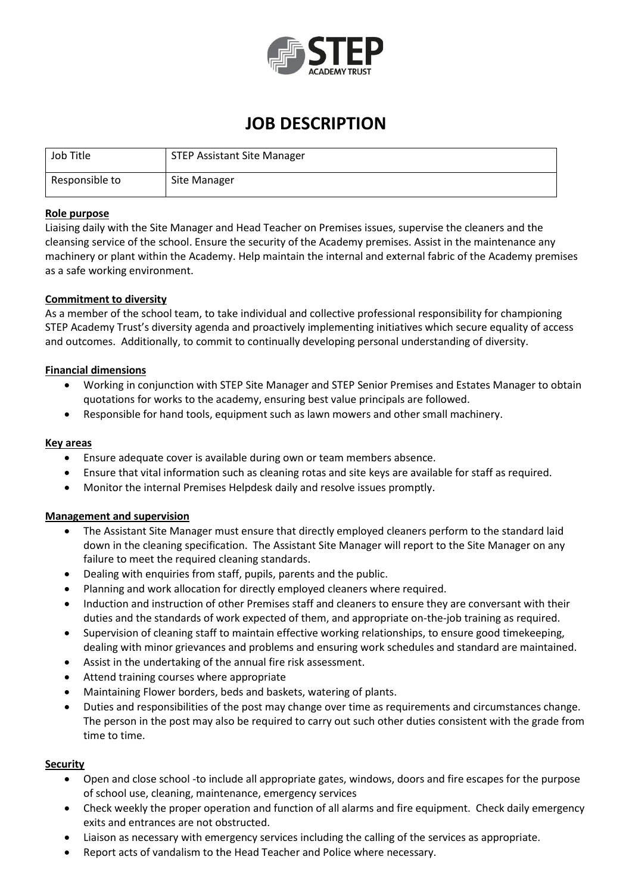

## **JOB DESCRIPTION**

| Job Title      | <b>STEP Assistant Site Manager</b> |
|----------------|------------------------------------|
| Responsible to | Site Manager                       |

#### **Role purpose**

Liaising daily with the Site Manager and Head Teacher on Premises issues, supervise the cleaners and the cleansing service of the school. Ensure the security of the Academy premises. Assist in the maintenance any machinery or plant within the Academy. Help maintain the internal and external fabric of the Academy premises as a safe working environment.

#### **Commitment to diversity**

As a member of the school team, to take individual and collective professional responsibility for championing STEP Academy Trust's diversity agenda and proactively implementing initiatives which secure equality of access and outcomes. Additionally, to commit to continually developing personal understanding of diversity.

#### **Financial dimensions**

- Working in conjunction with STEP Site Manager and STEP Senior Premises and Estates Manager to obtain quotations for works to the academy, ensuring best value principals are followed.
- Responsible for hand tools, equipment such as lawn mowers and other small machinery.

#### **Key areas**

- Ensure adequate cover is available during own or team members absence.
- Ensure that vital information such as cleaning rotas and site keys are available for staff as required.
- Monitor the internal Premises Helpdesk daily and resolve issues promptly.

#### **Management and supervision**

- The Assistant Site Manager must ensure that directly employed cleaners perform to the standard laid down in the cleaning specification. The Assistant Site Manager will report to the Site Manager on any failure to meet the required cleaning standards.
- Dealing with enquiries from staff, pupils, parents and the public.
- Planning and work allocation for directly employed cleaners where required.
- Induction and instruction of other Premises staff and cleaners to ensure they are conversant with their duties and the standards of work expected of them, and appropriate on-the-job training as required.
- Supervision of cleaning staff to maintain effective working relationships, to ensure good timekeeping, dealing with minor grievances and problems and ensuring work schedules and standard are maintained.
- Assist in the undertaking of the annual fire risk assessment.
- Attend training courses where appropriate
- Maintaining Flower borders, beds and baskets, watering of plants.
- Duties and responsibilities of the post may change over time as requirements and circumstances change. The person in the post may also be required to carry out such other duties consistent with the grade from time to time.

#### **Security**

- Open and close school -to include all appropriate gates, windows, doors and fire escapes for the purpose of school use, cleaning, maintenance, emergency services
- Check weekly the proper operation and function of all alarms and fire equipment. Check daily emergency exits and entrances are not obstructed.
- Liaison as necessary with emergency services including the calling of the services as appropriate.
- Report acts of vandalism to the Head Teacher and Police where necessary.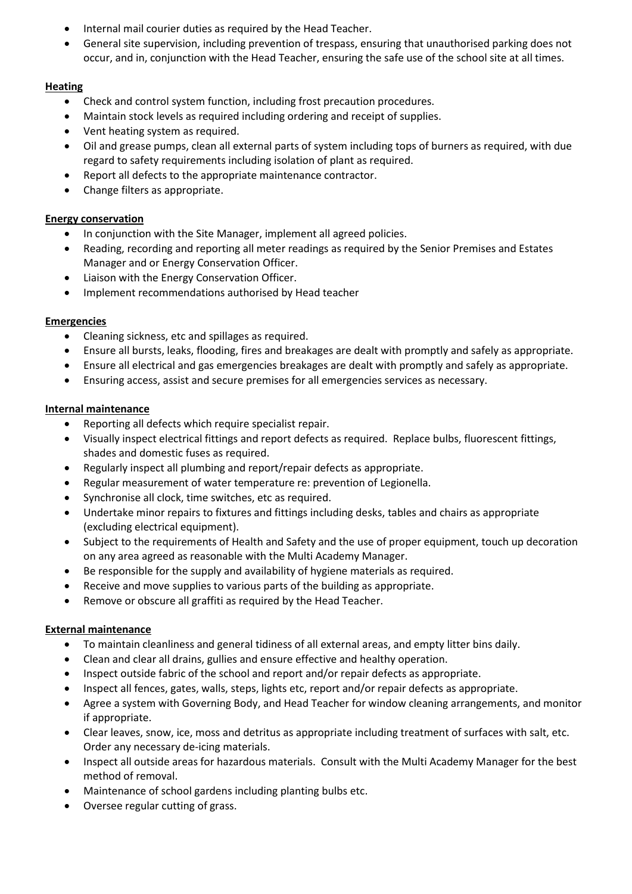- Internal mail courier duties as required by the Head Teacher.
- General site supervision, including prevention of trespass, ensuring that unauthorised parking does not occur, and in, conjunction with the Head Teacher, ensuring the safe use of the school site at all times.

## **Heating**

- Check and control system function, including frost precaution procedures.
- Maintain stock levels as required including ordering and receipt of supplies.
- Vent heating system as required.
- Oil and grease pumps, clean all external parts of system including tops of burners as required, with due regard to safety requirements including isolation of plant as required.
- Report all defects to the appropriate maintenance contractor.
- Change filters as appropriate.

## **Energy conservation**

- In conjunction with the Site Manager, implement all agreed policies.
- Reading, recording and reporting all meter readings as required by the Senior Premises and Estates Manager and or Energy Conservation Officer.
- Liaison with the Energy Conservation Officer.
- Implement recommendations authorised by Head teacher

## **Emergencies**

- Cleaning sickness, etc and spillages as required.
- Ensure all bursts, leaks, flooding, fires and breakages are dealt with promptly and safely as appropriate.
- Ensure all electrical and gas emergencies breakages are dealt with promptly and safely as appropriate.
- Ensuring access, assist and secure premises for all emergencies services as necessary.

## **Internal maintenance**

- Reporting all defects which require specialist repair.
- Visually inspect electrical fittings and report defects as required. Replace bulbs, fluorescent fittings, shades and domestic fuses as required.
- Regularly inspect all plumbing and report/repair defects as appropriate.
- Regular measurement of water temperature re: prevention of Legionella.
- Synchronise all clock, time switches, etc as required.
- Undertake minor repairs to fixtures and fittings including desks, tables and chairs as appropriate (excluding electrical equipment).
- Subject to the requirements of Health and Safety and the use of proper equipment, touch up decoration on any area agreed as reasonable with the Multi Academy Manager.
- Be responsible for the supply and availability of hygiene materials as required.
- Receive and move supplies to various parts of the building as appropriate.
- Remove or obscure all graffiti as required by the Head Teacher.

## **External maintenance**

- To maintain cleanliness and general tidiness of all external areas, and empty litter bins daily.
- Clean and clear all drains, gullies and ensure effective and healthy operation.
- Inspect outside fabric of the school and report and/or repair defects as appropriate.
- Inspect all fences, gates, walls, steps, lights etc, report and/or repair defects as appropriate.
- Agree a system with Governing Body, and Head Teacher for window cleaning arrangements, and monitor if appropriate.
- Clear leaves, snow, ice, moss and detritus as appropriate including treatment of surfaces with salt, etc. Order any necessary de-icing materials.
- Inspect all outside areas for hazardous materials. Consult with the Multi Academy Manager for the best method of removal.
- Maintenance of school gardens including planting bulbs etc.
- Oversee regular cutting of grass.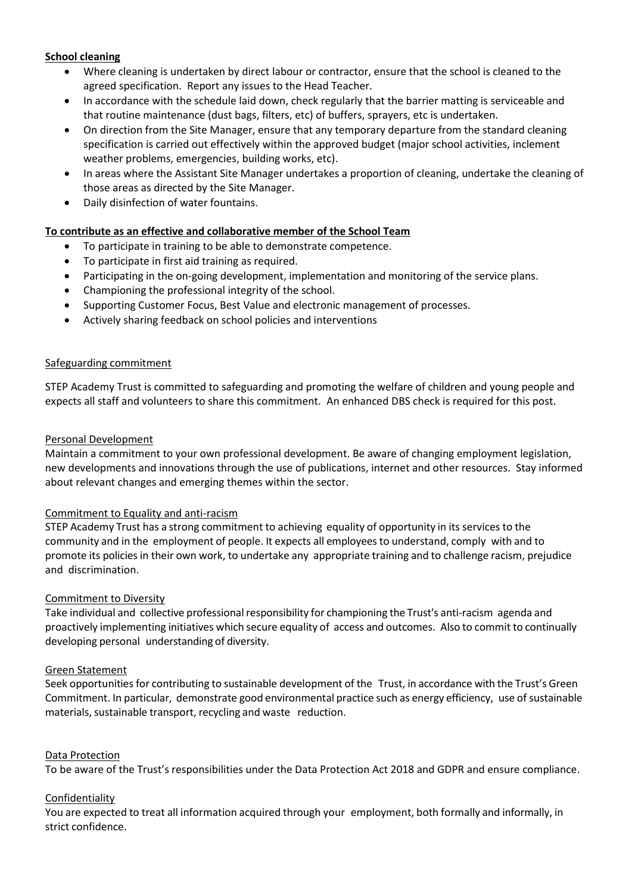## **School cleaning**

- Where cleaning is undertaken by direct labour or contractor, ensure that the school is cleaned to the agreed specification. Report any issues to the Head Teacher.
- In accordance with the schedule laid down, check regularly that the barrier matting is serviceable and that routine maintenance (dust bags, filters, etc) of buffers, sprayers, etc is undertaken.
- On direction from the Site Manager, ensure that any temporary departure from the standard cleaning specification is carried out effectively within the approved budget (major school activities, inclement weather problems, emergencies, building works, etc).
- In areas where the Assistant Site Manager undertakes a proportion of cleaning, undertake the cleaning of those areas as directed by the Site Manager.
- Daily disinfection of water fountains.

## **To contribute as an effective and collaborative member of the School Team**

- To participate in training to be able to demonstrate competence.
- To participate in first aid training as required.
- Participating in the on-going development, implementation and monitoring of the service plans.
- Championing the professional integrity of the school.
- Supporting Customer Focus, Best Value and electronic management of processes.
- Actively sharing feedback on school policies and interventions

#### Safeguarding commitment

STEP Academy Trust is committed to safeguarding and promoting the welfare of children and young people and expects all staff and volunteers to share this commitment. An enhanced DBS check is required for this post.

#### Personal Development

Maintain a commitment to your own professional development. Be aware of changing employment legislation, new developments and innovations through the use of publications, internet and other resources. Stay informed about relevant changes and emerging themes within the sector.

## Commitment to Equality and anti-racism

STEP Academy Trust has a strong commitment to achieving equality of opportunity in its services to the community and in the employment of people. It expects all employeesto understand, comply with and to promote its policies in their own work, to undertake any appropriate training and to challenge racism, prejudice and discrimination.

## Commitment to Diversity

Take individual and collective professional responsibility for championing the Trust's anti-racism agenda and proactively implementing initiatives which secure equality of access and outcomes. Also to commit to continually developing personal understanding of diversity.

## Green Statement

Seek opportunities for contributing to sustainable development of the Trust, in accordance with the Trust's Green Commitment. In particular, demonstrate good environmental practice such as energy efficiency, use of sustainable materials, sustainable transport, recycling and waste reduction.

#### Data Protection

To be aware of the Trust's responsibilities under the Data Protection Act 2018 and GDPR and ensure compliance.

#### Confidentiality

You are expected to treat all information acquired through your employment, both formally and informally, in strict confidence.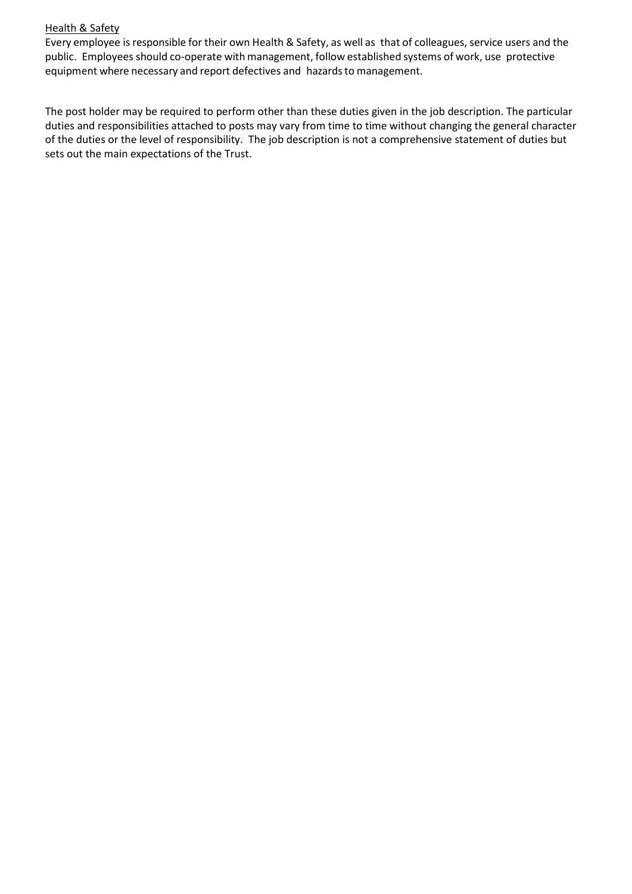#### **Health & Safety**

Every employee is responsible for their own Health & Safety, as well as that of colleagues, service users and the public. Employees should co-operate with management, follow established systems of work, use protective equipment where necessary and report defectives and hazards to management.

The post holder may be required to perform other than these duties given in the job description. The particular duties and responsibilities attached to posts may vary from time to time without changing the general character of the duties or the level of responsibility. The job description is not a comprehensive statement of duties but sets out the main expectations of the Trust.